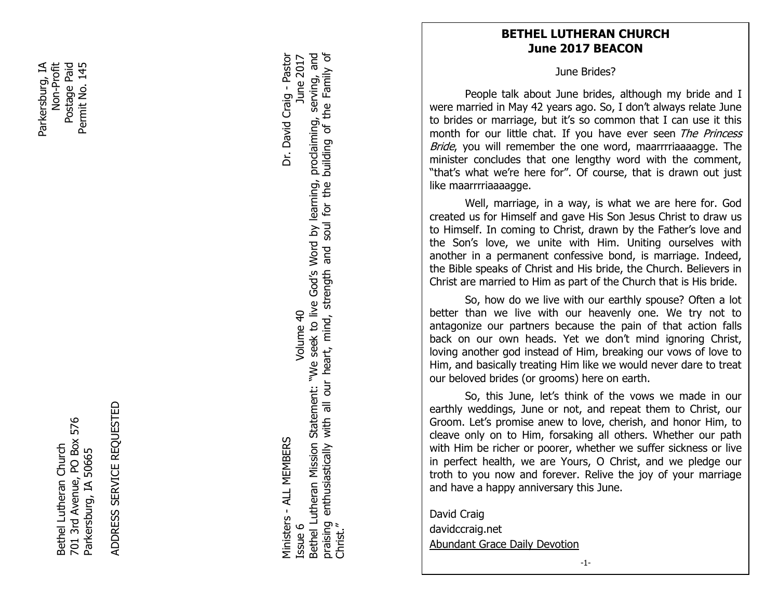Parkersburg, IA Postage Paid Non-Profit<br>Postage Paid Permit No. 145 Parkersburg, IA Permit No. 145

> 701 3rd Avenue, PO Box 576 701 3rd Avenue, PO Box 576 Bethel Lutheran Church Bethel Lutheran Church Parkersburg, IA 50665 Parkersburg, IA 50665

ADDRESS SERVICE REQUESTED ADDRESS SERVICE REQUESTED

Bethel Lutheran Mission Statement: "We seek to live God's Word by learning, proclaiming, serving, and praising enthusiastically with all our heart, mind, strength and soul for the building of the Family of Ministers - ALL MEMBERS Dr. David Craig - Pastor Issue 6 Volume 40 June 2017 Bethel Lutheran Mission Statement: "We seek to live God's Word by learning, praising enthusiastically with all our heart, mind, strength and soul for the<br>Christ." Volume 40 Vinisters - ALL MEMBERS Issue 6

Dr. David Craig - Pastor June 2017

building of the Family of proclaiming, serving, and

## **BETHEL LUTHERAN CHURCH June 2017 BEACON**

June Brides?

People talk about June brides, although my bride and I were married in May 42 years ago. So, I don't always relate June to brides or marriage, but it's so common that I can use it this month for our little chat. If you have ever seen The Princess Bride, you will remember the one word, maarrrriaaaagge. The minister concludes that one lengthy word with the comment, "that's what we're here for". Of course, that is drawn out just like maarrrriaaaagge.

re for<br>
e, in a<br>
f and<br>
y to Ch<br>
unite<br>
ent cc<br>
nrist al Well, marriage, in a way, is what we are here for. God created us for Himself and gave His Son Jesus Christ to draw us to Himself. In coming to Christ, drawn by the Father's love and the Son's love, we unite with Him. Uniting ourselves with another in a permanent confessive bond, is marriage. Indeed, the Bible speaks of Christ and His bride, the Church. Believers in Christ are married to Him as part of the Church that is His bride.

So, how do we live with our earthly spouse? Often a lot better than we live with our heavenly one. We try not to antagonize our partners because the pain of that action falls back on our own heads. Yet we don't mind ignoring Christ, loving another god instead of Him, breaking our vows of love to Him, and basically treating Him like we would never dare to treat our beloved brides (or grooms) here on earth.

 and have a happy anniversary this June. So, this June, let's think of the vows we made in our earthly weddings, June or not, and repeat them to Christ, our Groom. Let's promise anew to love, cherish, and honor Him, to cleave only on to Him, forsaking all others. Whether our path with Him be richer or poorer, whether we suffer sickness or live in perfect health, we are Yours, O Christ, and we pledge our troth to you now and forever. Relive the joy of your marriage

David Craig davidccraig.net Abundant Grace Daily Devotion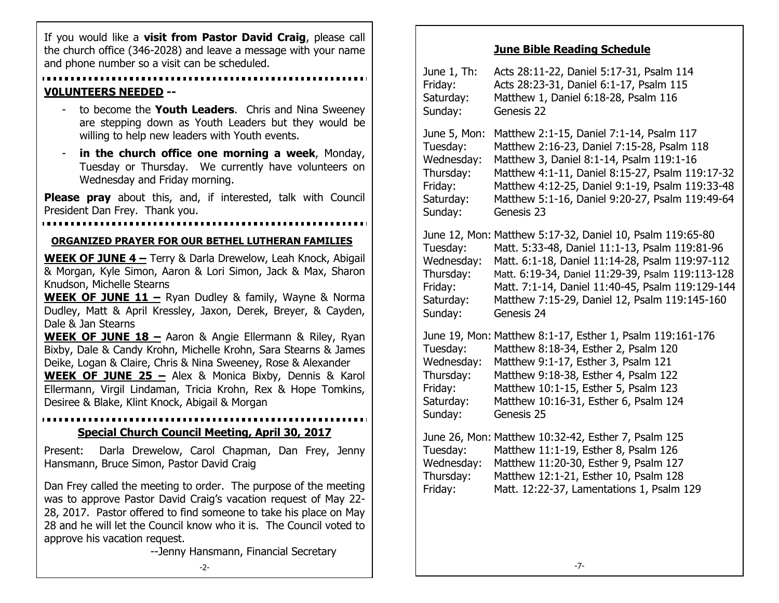and phone number so a visit can be scheduled. If you would like a **visit from Pastor David Craig**, please call the church office (346-2028) and leave a message with your name

#### **V0LUNTEERS NEEDED --**

- to become the **Youth Leaders**. Chris and Nina Sweeney are stepping down as Youth Leaders but they would be willing to help new leaders with Youth events.
- in the church office one morning a week, Monday, Tuesday or Thursday. We currently have volunteers on Wednesday and Friday morning.

**Please pray** about this, and, if interested, talk with Council President Dan Frey. Thank you.

#### **ORGANIZED PRAYER FOR OUR BETHEL LUTHERAN FAMILIES**

**WEEK OF JUNE 4 –** Terry & Darla Drewelow, Leah Knock, Abigail & Morgan, Kyle Simon, Aaron & Lori Simon, Jack & Max, Sharon Knudson, Michelle Stearns

**WEEK OF JUNE 11 –** Ryan Dudley & family, Wayne & Norma Dudley, Matt & April Kressley, Jaxon, Derek, Breyer, & Cayden, Dale & Jan Stearns

**WEEK OF JUNE 18 –** Aaron & Angie Ellermann & Riley, Ryan Bixby, Dale & Candy Krohn, Michelle Krohn, Sara Stearns & James Deike, Logan & Claire, Chris & Nina Sweeney, Rose & Alexander **WEEK OF JUNE 25 –** Alex & Monica Bixby, Dennis & Karol

Ellermann, Virgil Lindaman, Tricia Krohn, Rex & Hope Tomkins, Desiree & Blake, Klint Knock, Abigail & Morgan

#### **Special Church Council Meeting, April 30, 2017**

Present: Darla Drewelow, Carol Chapman, Dan Frey, Jenny Hansmann, Bruce Simon, Pastor David Craig

Dan Frey called the meeting to order. The purpose of the meeting was to approve Pastor David Craig's vacation request of May 22- 28, 2017. Pastor offered to find someone to take his place on May 28 and he will let the Council know who it is. The Council voted to approve his vacation request.

--Jenny Hansmann, Financial Secretary

## **June Bible Reading Schedule**

| June 1, Th:<br>Friday:<br>Saturday:<br>Sunday:                                         | Acts 28:11-22, Daniel 5:17-31, Psalm 114<br>Acts 28:23-31, Daniel 6:1-17, Psalm 115<br>Matthew 1, Daniel 6:18-28, Psalm 116<br>Genesis 22                                                                                                                                                                                              |
|----------------------------------------------------------------------------------------|----------------------------------------------------------------------------------------------------------------------------------------------------------------------------------------------------------------------------------------------------------------------------------------------------------------------------------------|
| June 5, Mon:<br>Tuesday:<br>Wednesday:<br>Thursday:<br>Friday:<br>Saturday:<br>Sunday: | Matthew 2:1-15, Daniel 7:1-14, Psalm 117<br>Matthew 2:16-23, Daniel 7:15-28, Psalm 118<br>Matthew 3, Daniel 8:1-14, Psalm 119:1-16<br>Matthew 4:1-11, Daniel 8:15-27, Psalm 119:17-32<br>Matthew 4:12-25, Daniel 9:1-19, Psalm 119:33-48<br>Matthew 5:1-16, Daniel 9:20-27, Psalm 119:49-64<br>Genesis 23                              |
| Tuesday:<br>Wednesday:<br>Thursday:<br>Friday:<br>Saturday:<br>Sunday:                 | June 12, Mon: Matthew 5:17-32, Daniel 10, Psalm 119:65-80<br>Matt. 5:33-48, Daniel 11:1-13, Psalm 119:81-96<br>Matt. 6:1-18, Daniel 11:14-28, Psalm 119:97-112<br>Matt. 6:19-34, Daniel 11:29-39, Psalm 119:113-128<br>Matt. 7:1-14, Daniel 11:40-45, Psalm 119:129-144<br>Matthew 7:15-29, Daniel 12, Psalm 119:145-160<br>Genesis 24 |
| Tuesday:<br>Wednesday:<br>Thursday:<br>Friday:<br>Saturday:<br>Sunday:                 | June 19, Mon: Matthew 8:1-17, Esther 1, Psalm 119:161-176<br>Matthew 8:18-34, Esther 2, Psalm 120<br>Matthew 9:1-17, Esther 3, Psalm 121<br>Matthew 9:18-38, Esther 4, Psalm 122<br>Matthew 10:1-15, Esther 5, Psalm 123<br>Matthew 10:16-31, Esther 6, Psalm 124<br>Genesis 25                                                        |
| Tuesday:<br>Wednesday:<br>Thursday:<br>Friday:                                         | June 26, Mon: Matthew 10:32-42, Esther 7, Psalm 125<br>Matthew 11:1-19, Esther 8, Psalm 126<br>Matthew 11:20-30, Esther 9, Psalm 127<br>Matthew 12:1-21, Esther 10, Psalm 128<br>Matt. 12:22-37, Lamentations 1, Psalm 129                                                                                                             |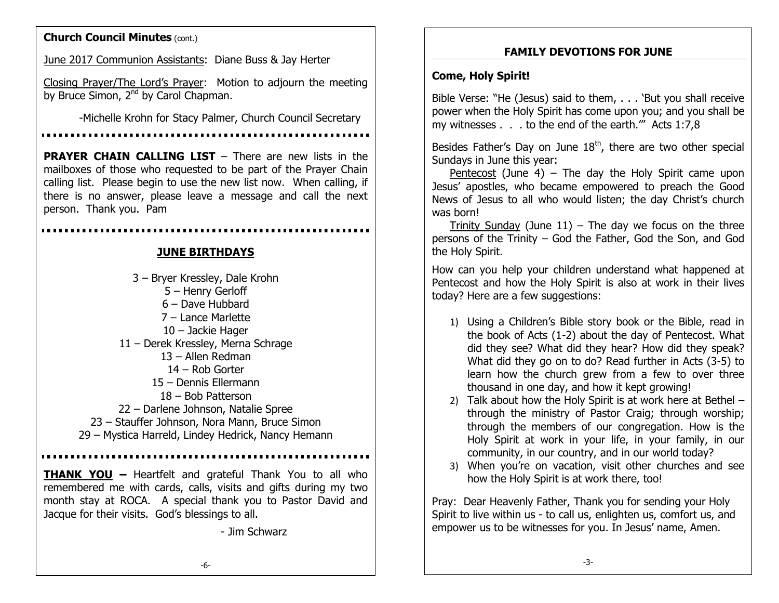## **Church Council Minutes** (cont.)

June 2017 Communion Assistants: Diane Buss & Jay Herter

Closing Prayer/The Lord's Prayer: Motion to adjourn the meeting by Bruce Simon, 2<sup>nd</sup> by Carol Chapman.

-Michelle Krohn for Stacy Palmer, Church Council Secretary

**PRAYER CHAIN CALLING LIST** – There are new lists in the mailboxes of those who requested to be part of the Prayer Chain calling list. Please begin to use the new list now. When calling, if there is no answer, please leave a message and call the next person. Thank you. Pam

#### **JUNE BIRTHDAYS**

– Bryer Kressley, Dale Krohn – Henry Gerloff – Dave Hubbard – Lance Marlette – Jackie Hager – Derek Kressley, Merna Schrage – Allen Redman – Rob Gorter – Dennis Ellermann – Bob Patterson – Darlene Johnson, Natalie Spree – Stauffer Johnson, Nora Mann, Bruce Simon – Mystica Harreld, Lindey Hedrick, Nancy Hemann

**THANK YOU –** Heartfelt and grateful Thank You to all who remembered me with cards, calls, visits and gifts during my two month stay at ROCA. A special thank you to Pastor David and Jacque for their visits. God's blessings to all.

- Jim Schwarz

## **FAMILY DEVOTIONS FOR JUNE**

## **Come, Holy Spirit!**

Bible Verse: "He (Jesus) said to them, . . . 'But you shall receive power when the Holy Spirit has come upon you; and you shall be my witnesses . . . to the end of the earth.'" Acts 1:7,8

Besides Father's Day on June  $18<sup>th</sup>$ , there are two other special Sundays in June this year:

Pentecost (June 4) – The day the Holy Spirit came upon Jesus' apostles, who became empowered to preach the Good News of Jesus to all who would listen; the day Christ's church was born!

Trinity Sunday (June  $11$ ) – The day we focus on the three persons of the Trinity – God the Father, God the Son, and God the Holy Spirit.

How can you help your children understand what happened at Pentecost and how the Holy Spirit is also at work in their lives today? Here are a few suggestions:

- 1) Using a Children's Bible story book or the Bible, read in the book of Acts (1-2) about the day of Pentecost. What did they see? What did they hear? How did they speak? What did they go on to do? Read further in Acts (3-5) to learn how the church grew from a few to over three thousand in one day, and how it kept growing!
- 2) Talk about how the Holy Spirit is at work here at Bethel through the ministry of Pastor Craig; through worship; through the members of our congregation. How is the Holy Spirit at work in your life, in your family, in our community, in our country, and in our world today?
- 3) When you're on vacation, visit other churches and see how the Holy Spirit is at work there, too!

Pray: Dear Heavenly Father, Thank you for sending your Holy Spirit to live within us - to call us, enlighten us, comfort us, and empower us to be witnesses for you. In Jesus' name, Amen.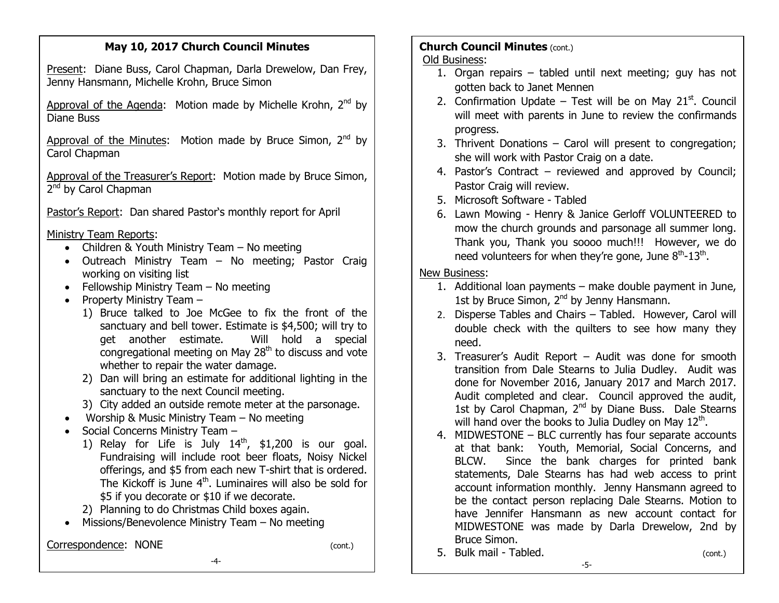# **May 10, 2017 Church Council Minutes**

Present: Diane Buss, Carol Chapman, Darla Drewelow, Dan Frey, Jenny Hansmann, Michelle Krohn, Bruce Simon

Approval of the Agenda: Motion made by Michelle Krohn,  $2^{nd}$  by Diane Buss

Approval of the Minutes: Motion made by Bruce Simon,  $2^{nd}$  by Carol Chapman

Approval of the Treasurer's Report: Motion made by Bruce Simon, 2<sup>nd</sup> by Carol Chapman

Pastor's Report: Dan shared Pastor's monthly report for April

Ministry Team Reports:

- Children & Youth Ministry Team No meeting
- Outreach Ministry Team No meeting; Pastor Craig working on visiting list
- Fellowship Ministry Team No meeting
- Property Ministry Team  $-$ 
	- 1) Bruce talked to Joe McGee to fix the front of the sanctuary and bell tower. Estimate is \$4,500; will try to get another estimate. Will hold a special congregational meeting on May  $28<sup>th</sup>$  to discuss and vote whether to repair the water damage.
	- 2) Dan will bring an estimate for additional lighting in the sanctuary to the next Council meeting.
	- 3) City added an outside remote meter at the parsonage.
- Worship & Music Ministry Team No meeting
- Social Concerns Ministry Team
	- 1) Relay for Life is July  $14<sup>th</sup>$ , \$1,200 is our goal. Fundraising will include root beer floats, Noisy Nickel offerings, and \$5 from each new T-shirt that is ordered. The Kickoff is June  $4<sup>th</sup>$ . Luminaires will also be sold for \$5 if you decorate or \$10 if we decorate.
	- 2) Planning to do Christmas Child boxes again.
- Missions/Benevolence Ministry Team No meeting

# Correspondence: NONE (cont.)

# **Church Council Minutes (cont.)**

Old Business:

- 1. Organ repairs tabled until next meeting; guy has not gotten back to Janet Mennen
- 2. Confirmation Update Test will be on May  $21<sup>st</sup>$ . Council will meet with parents in June to review the confirmands progress.
- 3. Thrivent Donations Carol will present to congregation; she will work with Pastor Craig on a date.
- 4. Pastor's Contract reviewed and approved by Council; Pastor Craig will review.
- 5. Microsoft Software Tabled
- 6. Lawn Mowing Henry & Janice Gerloff VOLUNTEERED to mow the church grounds and parsonage all summer long. Thank you, Thank you soooo much!!! However, we do need volunteers for when they're gone, June  $8^{th}$ -13 $^{th}$ .

# New Business:

- 1. Additional loan payments make double payment in June, 1st by Bruce Simon,  $2^{nd}$  by Jenny Hansmann.
- 2. Disperse Tables and Chairs Tabled. However, Carol will double check with the quilters to see how many they need.
- 3. Treasurer's Audit Report Audit was done for smooth transition from Dale Stearns to Julia Dudley. Audit was done for November 2016, January 2017 and March 2017. Audit completed and clear. Council approved the audit, 1st by Carol Chapman,  $2^{nd}$  by Diane Buss. Dale Stearns will hand over the books to Julia Dudley on May 12<sup>th</sup>.
- 4. MIDWESTONE BLC currently has four separate accounts at that bank: Youth, Memorial, Social Concerns, and BLCW. Since the bank charges for printed bank statements, Dale Stearns has had web access to print account information monthly. Jenny Hansmann agreed to be the contact person replacing Dale Stearns. Motion to have Jennifer Hansmann as new account contact for MIDWESTONE was made by Darla Drewelow, 2nd by Bruce Simon.

-5-

5. Bulk mail - Tabled. (cont.)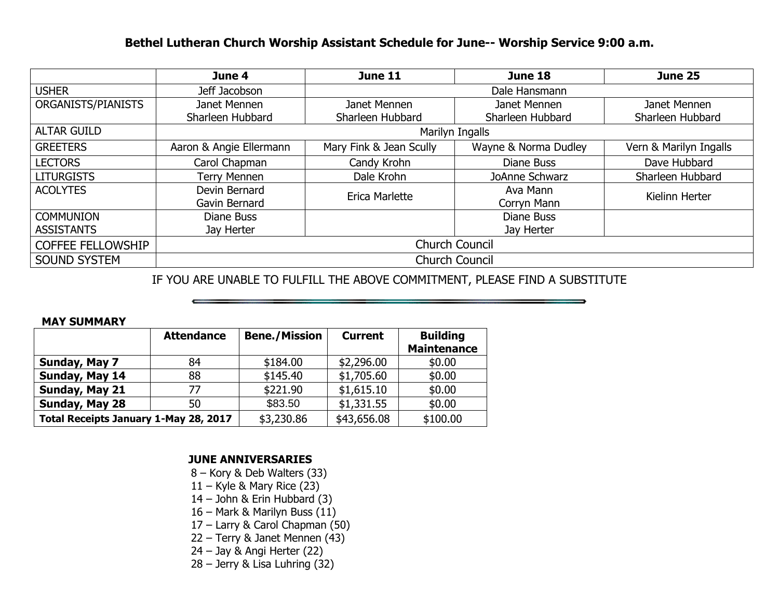## **Bethel Lutheran Church Worship Assistant Schedule for June-- Worship Service 9:00 a.m.**

|                          | June 4                         | <b>June 11</b>          | June 18              | <b>June 25</b>         |  |  |
|--------------------------|--------------------------------|-------------------------|----------------------|------------------------|--|--|
| <b>USHER</b>             | Jeff Jacobson<br>Dale Hansmann |                         |                      |                        |  |  |
| ORGANISTS/PIANISTS       | Janet Mennen                   | Janet Mennen            | Janet Mennen         | Janet Mennen           |  |  |
|                          | Sharleen Hubbard               | Sharleen Hubbard        | Sharleen Hubbard     | Sharleen Hubbard       |  |  |
| <b>ALTAR GUILD</b>       | Marilyn Ingalls                |                         |                      |                        |  |  |
| <b>GREETERS</b>          | Aaron & Angie Ellermann        | Mary Fink & Jean Scully | Wayne & Norma Dudley | Vern & Marilyn Ingalls |  |  |
| <b>LECTORS</b>           | Carol Chapman                  | Candy Krohn             | Diane Buss           | Dave Hubbard           |  |  |
| <b>LITURGISTS</b>        | <b>Terry Mennen</b>            | Dale Krohn              | JoAnne Schwarz       | Sharleen Hubbard       |  |  |
| <b>ACOLYTES</b>          | Devin Bernard                  | Erica Marlette          | Ava Mann             | Kielinn Herter         |  |  |
|                          | Gavin Bernard                  |                         | Corryn Mann          |                        |  |  |
| <b>COMMUNION</b>         | Diane Buss                     |                         | Diane Buss           |                        |  |  |
| <b>ASSISTANTS</b>        | Jay Herter                     |                         | Jay Herter           |                        |  |  |
| <b>COFFEE FELLOWSHIP</b> | <b>Church Council</b>          |                         |                      |                        |  |  |
| <b>SOUND SYSTEM</b>      | <b>Church Council</b>          |                         |                      |                        |  |  |

IF YOU ARE UNABLE TO FULFILL THE ABOVE COMMITMENT, PLEASE FIND A SUBSTITUTE

#### **MAY SUMMARY**

|                                       | <b>Attendance</b> | <b>Bene./Mission</b> | <b>Current</b> | <b>Building</b><br><b>Maintenance</b> |  |
|---------------------------------------|-------------------|----------------------|----------------|---------------------------------------|--|
| Sunday, May 7                         | 84                | \$184.00             | \$2,296.00     | \$0.00                                |  |
| Sunday, May 14                        | 88                | \$145.40             | \$1,705.60     | \$0.00                                |  |
| Sunday, May 21                        | 77                | \$221.90             | \$1,615.10     | \$0.00                                |  |
| Sunday, May 28                        | 50                | \$83.50              | \$1,331.55     | \$0.00                                |  |
| Total Receipts January 1-May 28, 2017 |                   | \$3,230.86           | \$43,656.08    | \$100.00                              |  |

#### **JUNE ANNIVERSARIES**

- 8 Kory & Deb Walters (33)
- $11 -$  Kyle & Mary Rice (23)
- 14 John & Erin Hubbard (3)
- 16 Mark & Marilyn Buss (11)
- 17 Larry & Carol Chapman (50)
- 22 Terry & Janet Mennen (43)
- 24 Jay & Angi Herter (22)
- 28 Jerry & Lisa Luhring (32)